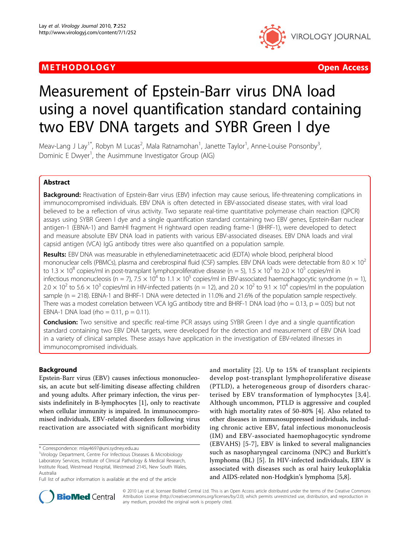## METHODOLOGY CONTROLLER CONTROLLER CONTROLLER CONTROLLER CONTROLLER CONTROLLER CONTROLLER CONTROLLER CONTROLLER



# Measurement of Epstein-Barr virus DNA load using a novel quantification standard containing two EBV DNA targets and SYBR Green I dye

Meav-Lang J Lay<sup>1\*</sup>, Robyn M Lucas<sup>2</sup>, Mala Ratnamohan<sup>1</sup>, Janette Taylor<sup>1</sup>, Anne-Louise Ponsonby<sup>3</sup> , Dominic E Dwyer<sup>1</sup>, the Ausimmune Investigator Group (AIG)

## Abstract

Background: Reactivation of Epstein-Barr virus (EBV) infection may cause serious, life-threatening complications in immunocompromised individuals. EBV DNA is often detected in EBV-associated disease states, with viral load believed to be a reflection of virus activity. Two separate real-time quantitative polymerase chain reaction (QPCR) assays using SYBR Green I dye and a single quantification standard containing two EBV genes, Epstein-Barr nuclear antigen-1 (EBNA-1) and BamHI fragment H rightward open reading frame-1 (BHRF-1), were developed to detect and measure absolute EBV DNA load in patients with various EBV-associated diseases. EBV DNA loads and viral capsid antigen (VCA) IgG antibody titres were also quantified on a population sample.

Results: EBV DNA was measurable in ethylenediaminetetraacetic acid (EDTA) whole blood, peripheral blood mononuclear cells (PBMCs), plasma and cerebrospinal fluid (CSF) samples. EBV DNA loads were detectable from 8.0  $\times$  10<sup>2</sup> to 1.3  $\times$  10<sup>8</sup> copies/ml in post-transplant lymphoproliferative disease (n = 5), 1.5  $\times$  10<sup>3</sup> to 2.0  $\times$  10<sup>5</sup> copies/ml in infectious mononucleosis (n = 7), 7.5  $\times$  10<sup>4</sup> to 1.1  $\times$  10<sup>5</sup> copies/ml in EBV-associated haemophagocytic syndrome (n = 1),  $2.0 \times 10^2$  to 5.6  $\times$  10<sup>3</sup> copies/ml in HIV-infected patients (n = 12), and 2.0  $\times$  10<sup>2</sup> to 9.1  $\times$  10<sup>4</sup> copies/ml in the population sample (n = 218). EBNA-1 and BHRF-1 DNA were detected in 11.0% and 21.6% of the population sample respectively. There was a modest correlation between VCA IgG antibody titre and BHRF-1 DNA load (rho = 0.13, p = 0.05) but not EBNA-1 DNA load (rho =  $0.11$ ,  $p = 0.11$ ).

**Conclusion:** Two sensitive and specific real-time PCR assays using SYBR Green I dye and a single quantification standard containing two EBV DNA targets, were developed for the detection and measurement of EBV DNA load in a variety of clinical samples. These assays have application in the investigation of EBV-related illnesses in immunocompromised individuals.

## Background

Epstein-Barr virus (EBV) causes infectious mononucleosis, an acute but self-limiting disease affecting children and young adults. After primary infection, the virus persists indefinitely in B-lymphocytes [[1\]](#page-9-0), only to reactivate when cellular immunity is impaired. In immunocompromised individuals, EBV-related disorders following virus reactivation are associated with significant morbidity

<sup>1</sup>Virology Department, Centre For Infectious Diseases & Microbiology Laboratory Services, Institute of Clinical Pathology & Medical Research, Institute Road, Westmead Hospital, Westmead 2145, New South Wales, Australia

and mortality [[2](#page-9-0)]. Up to 15% of transplant recipients develop post-transplant lymphoproliferative disease (PTLD), a heterogeneous group of disorders characterised by EBV transformation of lymphocytes [[3](#page-9-0),[4\]](#page-9-0). Although uncommon, PTLD is aggressive and coupled with high mortality rates of 50-80% [[4](#page-9-0)]. Also related to other diseases in immunosuppressed individuals, including chronic active EBV, fatal infectious mononucleosis (IM) and EBV-associated haemophagocytic syndrome (EBVAHS) [\[5](#page-9-0)-[7](#page-9-0)], EBV is linked to several malignancies such as nasopharyngeal carcinoma (NPC) and Burkitt's lymphoma (BL) [\[5](#page-9-0)]. In HIV-infected individuals, EBV is associated with diseases such as oral hairy leukoplakia and AIDS-related non-Hodgkin's lymphoma [[5,8\]](#page-9-0).



© 2010 Lay et al; licensee BioMed Central Ltd. This is an Open Access article distributed under the terms of the Creative Commons Attribution License [\(http://creativecommons.org/licenses/by/2.0](http://creativecommons.org/licenses/by/2.0)), which permits unrestricted use, distribution, and reproduction in any medium, provided the original work is properly cited.

<sup>\*</sup> Correspondence: [mlay4697@uni.sydney.edu.au](mailto:mlay4697@uni.sydney.edu.au)

Full list of author information is available at the end of the article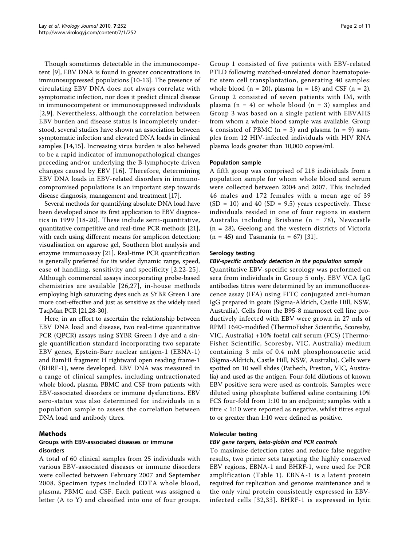Though sometimes detectable in the immunocompetent [\[9](#page-9-0)], EBV DNA is found in greater concentrations in immunosuppressed populations [\[10](#page-9-0)-[13\]](#page-9-0). The presence of circulating EBV DNA does not always correlate with symptomatic infection, nor does it predict clinical disease in immunocompetent or immunosuppressed individuals [[2](#page-9-0),[9](#page-9-0)]. Nevertheless, although the correlation between EBV burden and disease status is incompletely understood, several studies have shown an association between symptomatic infection and elevated DNA loads in clinical samples [[14,15](#page-9-0)]. Increasing virus burden is also believed to be a rapid indicator of immunopathological changes preceding and/or underlying the B-lymphocyte driven changes caused by EBV [\[16](#page-9-0)]. Therefore, determining EBV DNA loads in EBV-related disorders in immunocompromised populations is an important step towards disease diagnosis, management and treatment [\[17](#page-9-0)].

Several methods for quantifying absolute DNA load have been developed since its first application to EBV diagnostics in 1999 [[18-20](#page-9-0)]. These include semi-quantitative, quantitative competitive and real-time PCR methods [[21](#page-9-0)], with each using different means for amplicon detection; visualisation on agarose gel, Southern blot analysis and enzyme immunoassay [\[21](#page-9-0)]. Real-time PCR quantification is generally preferred for its wider dynamic range, speed, ease of handling, sensitivity and specificity [[2](#page-9-0),[22](#page-9-0)-[25\]](#page-9-0). Although commercial assays incorporating probe-based chemistries are available [[26,27\]](#page-9-0), in-house methods employing high saturating dyes such as SYBR Green I are more cost-effective and just as sensitive as the widely used TaqMan PCR [\[21,28-30\]](#page-9-0).

Here, in an effort to ascertain the relationship between EBV DNA load and disease, two real-time quantitative PCR (QPCR) assays using SYBR Green I dye and a single quantification standard incorporating two separate EBV genes, Epstein-Barr nuclear antigen-1 (EBNA-1) and BamHI fragment H rightward open reading frame-1 (BHRF-1), were developed. EBV DNA was measured in a range of clinical samples, including unfractionated whole blood, plasma, PBMC and CSF from patients with EBV-associated disorders or immune dysfunctions. EBV sero-status was also determined for individuals in a population sample to assess the correlation between DNA load and antibody titres.

## Methods

## Groups with EBV-associated diseases or immune disorders

A total of 60 clinical samples from 25 individuals with various EBV-associated diseases or immune disorders were collected between February 2007 and September 2008. Specimen types included EDTA whole blood, plasma, PBMC and CSF. Each patient was assigned a letter (A to Y) and classified into one of four groups.

Group 1 consisted of five patients with EBV-related PTLD following matched-unrelated donor haematopoietic stem cell transplantation, generating 40 samples: whole blood  $(n = 20)$ , plasma  $(n = 18)$  and CSF  $(n = 2)$ . Group 2 consisted of seven patients with IM, with plasma  $(n = 4)$  or whole blood  $(n = 3)$  samples and Group 3 was based on a single patient with EBVAHS from whom a whole blood sample was available. Group 4 consisted of PBMC  $(n = 3)$  and plasma  $(n = 9)$  samples from 12 HIV-infected individuals with HIV RNA plasma loads greater than 10,000 copies/ml.

#### Population sample

A fifth group was comprised of 218 individuals from a population sample for whom whole blood and serum were collected between 2004 and 2007. This included 46 males and 172 females with a mean age of 39  $(SD = 10)$  and 40  $(SD = 9.5)$  years respectively. These individuals resided in one of four regions in eastern Australia including Brisbane (n = 78), Newcastle (n = 28), Geelong and the western districts of Victoria  $(n = 45)$  and Tasmania  $(n = 67)$  [\[31](#page-9-0)].

#### Serology testing

#### EBV-specific antibody detection in the population sample

Quantitative EBV-specific serology was performed on sera from individuals in Group 5 only. EBV VCA IgG antibodies titres were determined by an immunofluorescence assay (IFA) using FITC conjugated anti-human IgG prepared in goats (Sigma-Aldrich, Castle Hill, NSW, Australia). Cells from the B95-8 marmoset cell line productively infected with EBV were grown in 27 mls of RPMI 1640-modified (ThermoFisher Scientific, Scoresby, VIC, Australia) +10% foetal calf serum (FCS) (Thermo-Fisher Scientific, Scoresby, VIC, Australia) medium containing 3 mls of 0.4 mM phosphonoacetic acid (Sigma-Aldrich, Castle Hill, NSW, Australia). Cells were spotted on 10 well slides (Pathech, Preston, VIC, Australia) and used as the antigen. Four-fold dilutions of known EBV positive sera were used as controls. Samples were diluted using phosphate buffered saline containing 10% FCS four-fold from 1:10 to an endpoint; samples with a titre < 1:10 were reported as negative, whilst titres equal to or greater than 1:10 were defined as positive.

#### Molecular testing

#### EBV gene targets, beta-globin and PCR controls

To maximise detection rates and reduce false negative results, two primer sets targeting the highly conserved EBV regions, EBNA-1 and BHRF-1, were used for PCR amplification (Table [1](#page-2-0)). EBNA-1 is a latent protein required for replication and genome maintenance and is the only viral protein consistently expressed in EBVinfected cells [[32,33\]](#page-9-0). BHRF-1 is expressed in lytic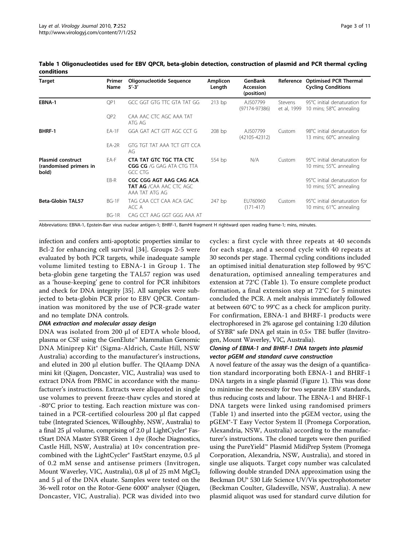| Target                                                      | Primer<br>Name  | Oligonucleotide Sequence<br>$5' - 3'$                                  | <b>Amplicon</b><br>Length | GenBank<br>Accession<br>(position) | Reference              | <b>Optimised PCR Thermal</b><br><b>Cycling Conditions</b> |
|-------------------------------------------------------------|-----------------|------------------------------------------------------------------------|---------------------------|------------------------------------|------------------------|-----------------------------------------------------------|
| EBNA-1                                                      | OP <sub>1</sub> | GCC GGT GTG TTC GTA TAT GG                                             | $213$ bp                  | AJ507799<br>$(97174 - 97386)$      | Stevens<br>et al. 1999 | 95°C initial denaturation for<br>10 mins; 58°C annealing  |
|                                                             | OP <sub>2</sub> | CAA AAC CTC AGC AAA TAT<br>ATG AG                                      |                           |                                    |                        |                                                           |
| BHRF-1                                                      | $EA-1F$         | GGA GAT ACT GTT AGC CCT G                                              | $208$ bp                  | AJ507799<br>$(42105 - 42312)$      | Custom                 | 98°C initial denaturation for<br>13 mins; 60°C annealing  |
|                                                             | $EA-2R$         | GTG TGT TAT AAA TCT GTT CCA<br>AG                                      |                           |                                    |                        |                                                           |
| <b>Plasmid construct</b><br>(randomised primers in<br>bold) | EA-F            | CTA TAT GTC TGC TTA CTC<br><b>CGG CG</b> /G GAG ATA CTG TTA<br>GCC CTG | 554 bp                    | N/A                                | Custom                 | 95°C initial denaturation for<br>10 mins; 55°C annealing  |
|                                                             | FB-R            | CGC CGG AGT AAG CAG ACA<br>TAT AG /CAA AAC CTC AGC<br>AAA TAT ATG AG   |                           |                                    |                        | 95°C initial denaturation for<br>10 mins; 55°C annealing  |
| <b>Beta-Globin TAL57</b>                                    | BG-1F           | TAG CAA CCT CAA ACA GAC<br>ACC A                                       | 247 bp                    | EU760960<br>$(171 - 417)$          | Custom                 | 95°C initial denaturation for<br>10 mins; 61°C annealing  |
|                                                             | $BG-1R$         | CAG CCT AAG GGT GGG AAA AT                                             |                           |                                    |                        |                                                           |

<span id="page-2-0"></span>Table 1 Oligonucleotides used for EBV QPCR, beta-globin detection, construction of plasmid and PCR thermal cycling conditions

Abbreviations: EBNA-1, Epstein-Barr virus nuclear antigen-1; BHRF-1, BamHI fragment H rightward open reading frame-1; mins, minutes.

infection and confers anti-apoptotic properties similar to Bcl-2 for enhancing cell survival [\[34](#page-9-0)]. Groups 2-5 were evaluated by both PCR targets, while inadequate sample volume limited testing to EBNA-1 in Group 1. The beta-globin gene targeting the TAL57 region was used as a 'house-keeping' gene to control for PCR inhibitors and check for DNA integrity [\[35](#page-10-0)]. All samples were subjected to beta-globin PCR prior to EBV QPCR. Contamination was monitored by the use of PCR-grade water and no template DNA controls.

#### DNA extraction and molecular assay design

DNA was isolated from 200 μl of EDTA whole blood, plasma or CSF using the GenElute™ Mammalian Genomic DNA Miniprep Kit® (Sigma-Aldrich, Caste Hill, NSW Australia) according to the manufacturer's instructions, and eluted in 200 μl elution buffer. The QIAamp DNA mini kit (Qiagen, Doncaster, VIC, Australia) was used to extract DNA from PBMC in accordance with the manufacturer's instructions. Extracts were aliquoted in single use volumes to prevent freeze-thaw cycles and stored at -80°C prior to testing. Each reaction mixture was contained in a PCR-certified colourless 200 μl flat capped tube (Integrated Sciences, Willoughby, NSW, Australia) to a final 25 μl volume, comprising of 2.0 μl LightCycler® FastStart DNA Master SYBR Green 1 dye (Roche Diagnostics, Castle Hill, NSW, Australia) at 10× concentration precombined with the LightCycler® FastStart enzyme, 0.5 μl of 0.2 mM sense and antisense primers (Invitrogen, Mount Waverley, VIC, Australia), 0.8 μl of 25 mM MgCl<sub>2</sub> and 5 μl of the DNA eluate. Samples were tested on the 36-well rotor on the Rotor-Gene 6000® analyser (Qiagen, Doncaster, VIC, Australia). PCR was divided into two cycles: a first cycle with three repeats at 40 seconds for each stage, and a second cycle with 40 repeats at 30 seconds per stage. Thermal cycling conditions included an optimised initial denaturation step followed by 95°C denaturation, optimised annealing temperatures and extension at 72°C (Table 1). To ensure complete product formation, a final extension step at 72°C for 5 minutes concluded the PCR. A melt analysis immediately followed at between 60°C to 99°C as a check for amplicon purity. For confirmation, EBNA-1 and BHRF-1 products were electrophoresed in 2% agarose gel containing 1:20 dilution of SYBR® safe DNA gel stain in 0.5× TBE buffer (Invitrogen, Mount Waverley, VIC, Australia).

#### Cloning of EBNA-1 and BHRF-1 DNA targets into plasmid vector pGEM and standard curve construction

A novel feature of the assay was the design of a quantification standard incorporating both EBNA-1 and BHRF-1 DNA targets in a single plasmid (Figure [1](#page-3-0)). This was done to minimise the necessity for two separate EBV standards, thus reducing costs and labour. The EBNA-1 and BHRF-1 DNA targets were linked using randomised primers (Table 1) and inserted into the pGEM vector, using the pGEM®-T Easy Vector System II (Promega Corporation, Alexandria, NSW, Australia) according to the manufacturer's instructions. The cloned targets were then purified using the PureYield™ Plasmid MidiPrep System (Promega Corporation, Alexandria, NSW, Australia), and stored in single use aliquots. Target copy number was calculated following double stranded DNA approximation using the Beckman DU® 530 Life Science UV/Vis spectrophotometer (Beckman Coulter, Gladesville, NSW, Australia). A new plasmid aliquot was used for standard curve dilution for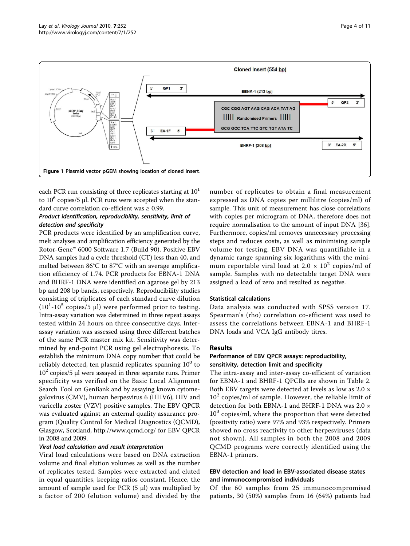<span id="page-3-0"></span>

each PCR run consisting of three replicates starting at  $10<sup>1</sup>$ to  $10^6$  copies/5 μl. PCR runs were accepted when the standard curve correlation co-efficient was ≥ 0.99.

## Product identification, reproducibility, sensitivity, limit of detection and specificity

PCR products were identified by an amplification curve, melt analyses and amplification efficiency generated by the Rotor-Gene™ 6000 Software 1.7 (Build 90). Positive EBV DNA samples had a cycle threshold (CT) less than 40, and melted between 86°C to 87°C with an average amplification efficiency of 1.74. PCR products for EBNA-1 DNA and BHRF-1 DNA were identified on agarose gel by 213 bp and 208 bp bands, respectively. Reproducibility studies consisting of triplicates of each standard curve dilution  $(10^{1}$ - $10^{5}$  copies/5  $\mu$ l) were performed prior to testing. Intra-assay variation was determined in three repeat assays tested within 24 hours on three consecutive days. Interassay variation was assessed using three different batches of the same PCR master mix kit. Sensitivity was determined by end-point PCR using gel electrophoresis. To establish the minimum DNA copy number that could be reliably detected, ten plasmid replicates spanning  $10^0$  to  $10<sup>2</sup>$  copies/5 µl were assayed in three separate runs. Primer specificity was verified on the Basic Local Alignment Search Tool on GenBank and by assaying known cytomegalovirus (CMV), human herpesvirus 6 (HHV6), HIV and varicella zoster (VZV) positive samples. The EBV QPCR was evaluated against an external quality assurance program (Quality Control for Medical Diagnostics (QCMD), Glasgow, Scotland,<http://www.qcmd.org/> for EBV QPCR in 2008 and 2009.

## Viral load calculation and result interpretation

Viral load calculations were based on DNA extraction volume and final elution volumes as well as the number of replicates tested. Samples were extracted and eluted in equal quantities, keeping ratios constant. Hence, the amount of sample used for PCR  $(5 \mu)$  was multiplied by a factor of 200 (elution volume) and divided by the number of replicates to obtain a final measurement expressed as DNA copies per millilitre (copies/ml) of sample. This unit of measurement has close correlations with copies per microgram of DNA, therefore does not require normalisation to the amount of input DNA [[36](#page-10-0)]. Furthermore, copies/ml removes unnecessary processing steps and reduces costs, as well as minimising sample volume for testing. EBV DNA was quantifiable in a dynamic range spanning six logarithms with the minimum reportable viral load at  $2.0 \times 10^2$  copies/ml of sample. Samples with no detectable target DNA were assigned a load of zero and resulted as negative.

## Statistical calculations

Data analysis was conducted with SPSS version 17. Spearman's (rho) correlation co-efficient was used to assess the correlations between EBNA-1 and BHRF-1 DNA loads and VCA IgG antibody titres.

## Results

## Performance of EBV QPCR assays: reproducibility, sensitivity, detection limit and specificity

The intra-assay and inter-assay co-efficient of variation for EBNA-1 and BHRF-1 QPCRs are shown in Table [2](#page-4-0). Both EBV targets were detected at levels as low as 2.0 ×  $10<sup>2</sup>$  copies/ml of sample. However, the reliable limit of detection for both EBNA-1 and BHRF-1 DNA was 2.0 ×  $10<sup>3</sup>$  copies/ml, where the proportion that were detected (positivity ratio) were 97% and 93% respectively. Primers showed no cross reactivity to other herpesviruses (data not shown). All samples in both the 2008 and 2009 QCMD programs were correctly identified using the EBNA-1 primers.

## EBV detection and load in EBV-associated disease states and immunocompromised individuals

Of the 60 samples from 25 immunocompromised patients, 30 (50%) samples from 16 (64%) patients had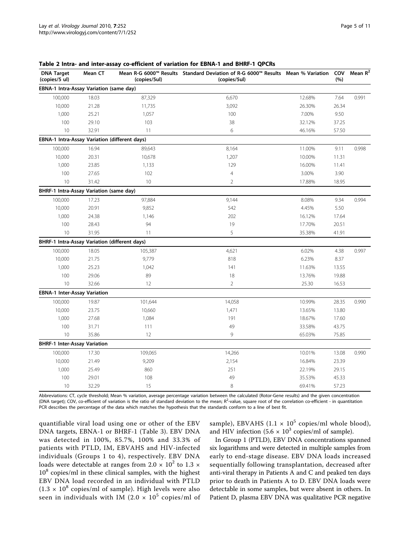| <b>DNA Target</b><br>(copies/5 ul)            | Mean CT | (copies/5ul) | Mean R-G 6000™ Results Standard Deviation of R-G 6000™ Results Mean % Variation COV<br>(copies/5ul) |        | (%)   | Mean $R^2$ |
|-----------------------------------------------|---------|--------------|-----------------------------------------------------------------------------------------------------|--------|-------|------------|
| EBNA-1 Intra-Assay Variation (same day)       |         |              |                                                                                                     |        |       |            |
| 100,000                                       | 18.03   | 87,329       | 6,670                                                                                               | 12.68% | 7.64  | 0.991      |
| 10,000                                        | 21.28   | 11,735       | 3,092                                                                                               | 26.30% | 26.34 |            |
| 1,000                                         | 25.21   | 1,057        | 100                                                                                                 | 7.00%  | 9.50  |            |
| 100                                           | 29.10   | 103          | 38                                                                                                  | 32.12% | 37.25 |            |
| 10                                            | 32.91   | 11           | 6                                                                                                   | 46.16% | 57.50 |            |
| EBNA-1 Intra-Assay Variation (different days) |         |              |                                                                                                     |        |       |            |
| 100,000                                       | 16.94   | 89,643       | 8,164                                                                                               | 11.00% | 9.11  | 0.998      |
| 10,000                                        | 20.31   | 10,678       | 1,207                                                                                               | 10.00% | 11.31 |            |
| 1,000                                         | 23.85   | 1,133        | 129                                                                                                 | 16.00% | 11.41 |            |
| 100                                           | 27.65   | 102          | $\overline{4}$                                                                                      | 3.00%  | 3.90  |            |
| 10                                            | 31.42   | 10           | $\overline{2}$                                                                                      | 17.88% | 18.95 |            |
| BHRF-1 Intra-Assay Variation (same day)       |         |              |                                                                                                     |        |       |            |
| 100,000                                       | 17.23   | 97,884       | 9,144                                                                                               | 8.08%  | 9.34  | 0.994      |
| 10,000                                        | 20.91   | 9,852        | 542                                                                                                 | 4.45%  | 5.50  |            |
| 1,000                                         | 24.38   | 1,146        | 202                                                                                                 | 16.12% | 17.64 |            |
| 100                                           | 28.43   | 94           | 19                                                                                                  | 17.70% | 20.51 |            |
| 10                                            | 31.95   | 11           | 5                                                                                                   | 35.38% | 41.91 |            |
| BHRF-1 Intra-Assay Variation (different days) |         |              |                                                                                                     |        |       |            |
| 100,000                                       | 18.05   | 105,387      | 4,621                                                                                               | 6.02%  | 4.38  | 0.997      |
| 10,000                                        | 21.75   | 9,779        | 818                                                                                                 | 6.23%  | 8.37  |            |
| 1,000                                         | 25.23   | 1,042        | 141                                                                                                 | 11.63% | 13.55 |            |
| 100                                           | 29.06   | 89           | 18                                                                                                  | 13.76% | 19.88 |            |
| 10                                            | 32.66   | 12           | $\overline{2}$                                                                                      | 25.30  | 16.53 |            |
| <b>EBNA-1 Inter-Assay Variation</b>           |         |              |                                                                                                     |        |       |            |
| 100,000                                       | 19.87   | 101,644      | 14,058                                                                                              | 10.99% | 28.35 | 0.990      |
| 10,000                                        | 23.75   | 10,660       | 1,471                                                                                               | 13.65% | 13.80 |            |
| 1,000                                         | 27.68   | 1,084        | 191                                                                                                 | 18.67% | 17.60 |            |
| 100                                           | 31.71   | 111          | 49                                                                                                  | 33.58% | 43.75 |            |
| 10                                            | 35.86   | 12           | 9                                                                                                   | 65.03% | 75.85 |            |
| <b>BHRF-1 Inter-Assay Variation</b>           |         |              |                                                                                                     |        |       |            |
| 100,000                                       | 17.30   | 109,065      | 14,266                                                                                              | 10.01% | 13.08 | 0.990      |
| 10,000                                        | 21.49   | 9,209        | 2,154                                                                                               | 16.84% | 23.39 |            |
| 1,000                                         | 25.49   | 860          | 251                                                                                                 | 22.19% | 29.15 |            |
| 100                                           | 29.01   | 108          | 49                                                                                                  | 35.53% | 45.33 |            |
| 10                                            | 32.29   | 15           | 8                                                                                                   | 69.41% | 57.23 |            |

<span id="page-4-0"></span>Table 2 Intra- and inter-assay co-efficient of variation for EBNA-1 and BHRF-1 QPCRs

Abbreviations: CT, cycle threshold; Mean % variation, average percentage variation between the calculated (Rotor-Gene results) and the given concentration (DNA target); COV, co-efficient of variation is the ratio of standard deviation to the mean; R<sup>2</sup>-value, square root of the correlation co-efficient - in quantitation PCR describes the percentage of the data which matches the hypothesis that the standards conform to a line of best fit.

quantifiable viral load using one or other of the EBV DNA targets, EBNA-1 or BHRF-1 (Table [3](#page-5-0)). EBV DNA was detected in 100%, 85.7%, 100% and 33.3% of patients with PTLD, IM, EBVAHS and HIV-infected individuals (Groups 1 to 4), respectively. EBV DNA loads were detectable at ranges from 2.0  $\times$  10<sup>2</sup> to 1.3  $\times$  $10^8$  copies/ml in these clinical samples, with the highest EBV DNA load recorded in an individual with PTLD  $(1.3 \times 10^8 \text{ copies/ml of sample})$ . High levels were also seen in individuals with IM (2.0  $\times$  10<sup>5</sup> copies/ml of sample), EBVAHS  $(1.1 \times 10^5 \text{ copies/ml whole blood})$ , and HIV infection  $(5.6 \times 10^3 \text{ copies/ml of sample})$ .

In Group 1 (PTLD), EBV DNA concentrations spanned six logarithms and were detected in multiple samples from early to end-stage disease. EBV DNA loads increased sequentially following transplantation, decreased after anti-viral therapy in Patients A and C and peaked ten days prior to death in Patients A to D. EBV DNA loads were detectable in some samples, but were absent in others. In Patient D, plasma EBV DNA was qualitative PCR negative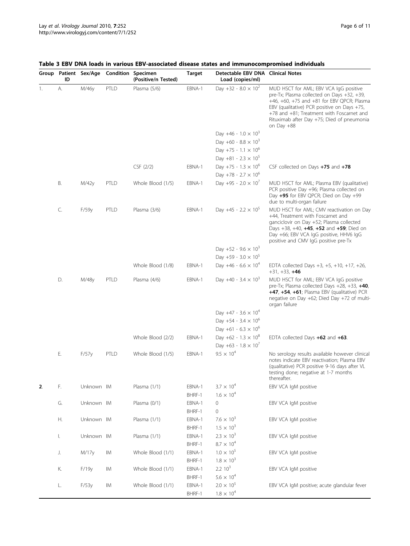|    | ID |            | Group Patient Sex/Age Condition Specimen | (Positive/n Tested) | <b>Target</b>    | Detectable EBV DNA Clinical Notes<br>Load (copies/ml) |                                                                                                                                                                                                                                                                                              |
|----|----|------------|------------------------------------------|---------------------|------------------|-------------------------------------------------------|----------------------------------------------------------------------------------------------------------------------------------------------------------------------------------------------------------------------------------------------------------------------------------------------|
| 1. | А. | M/46y      | PTLD                                     | Plasma (5/6)        | EBNA-1           | Day +32 - 8.0 $\times$ 10 <sup>2</sup>                | MUD HSCT for AML; EBV VCA IgG positive<br>pre-Tx; Plasma collected on Days +32, +39,<br>+46, +60, +75 and +81 for EBV QPCR; Plasma<br>EBV (qualitative) PCR positive on Days +75,<br>+78 and +81; Treatment with Foscarnet and<br>Rituximab after Day +75; Died of pneumonia<br>on Day $+88$ |
|    |    |            |                                          |                     |                  | Day +46 - $1.0 \times 10^3$                           |                                                                                                                                                                                                                                                                                              |
|    |    |            |                                          |                     |                  | Day +60 - 8.8 $\times$ 10 <sup>3</sup>                |                                                                                                                                                                                                                                                                                              |
|    |    |            |                                          |                     |                  | Day +75 - 1.1 $\times$ 10 <sup>6</sup>                |                                                                                                                                                                                                                                                                                              |
|    |    |            |                                          |                     |                  | Day +81 - 2.3 $\times$ 10 <sup>5</sup>                |                                                                                                                                                                                                                                                                                              |
|    |    |            |                                          | CSF (2/2)           | EBNA-1           | Day +75 - 1.3 $\times$ 10 <sup>6</sup>                | CSF collected on Days +75 and +78                                                                                                                                                                                                                                                            |
|    |    |            |                                          |                     |                  | Day +78 - 2.7 $\times$ 10 <sup>6</sup>                |                                                                                                                                                                                                                                                                                              |
|    | В. | M/42y      | PTLD                                     | Whole Blood (1/5)   | EBNA-1           | Day +95 - 2.0 $\times$ 10 <sup>7</sup>                | MUD HSCT for AML; Plasma EBV (qualitative)<br>PCR positive Day +96; Plasma collected on<br>Day +95 for EBV QPCR; Died on Day +99<br>due to multi-organ failure                                                                                                                               |
|    | C. | F/59y      | PTLD                                     | Plasma (3/6)        | EBNA-1           | Day +45 - 2.2 $\times$ 10 <sup>5</sup>                | MUD HSCT for AML; CMV reactivation on Day<br>+44, Treatment with Foscarnet and<br>ganciclovir on Day +52; Plasma collected<br>Days +38, +40, +45, +52 and +59; Died on<br>Day +66; EBV VCA IqG positive, HHV6 IqG<br>positive and CMV IgG positive pre-Tx                                    |
|    |    |            |                                          |                     |                  | Day +52 - 9.6 $\times$ 10 <sup>3</sup>                |                                                                                                                                                                                                                                                                                              |
|    |    |            |                                          |                     |                  | Day +59 - $3.0 \times 10^5$                           |                                                                                                                                                                                                                                                                                              |
|    |    |            |                                          | Whole Blood (1/8)   | EBNA-1           | Day +46 - $6.6 \times 10^4$                           | EDTA collected Days $+3$ , $+5$ , $+10$ , $+17$ , $+26$ ,<br>$+31, +33, +46$                                                                                                                                                                                                                 |
|    | D. | M/48y      | PTLD                                     | Plasma (4/6)        | EBNA-1           | Day +40 - 3.4 $\times$ 10 <sup>3</sup>                | MUD HSCT for AML; EBV VCA IgG positive<br>pre-Tx; Plasma collected Days $+28$ , $+33$ , $+40$ ,<br>+47, +54, +61; Plasma EBV (qualitative) PCR<br>negative on Day $+62$ ; Died Day $+72$ of multi-<br>organ failure                                                                          |
|    |    |            |                                          |                     |                  | Day +47 - 3.6 $\times$ 10 <sup>4</sup>                |                                                                                                                                                                                                                                                                                              |
|    |    |            |                                          |                     |                  | Day +54 - 3.4 $\times$ 10 <sup>6</sup>                |                                                                                                                                                                                                                                                                                              |
|    |    |            |                                          |                     |                  | Day +61 - 6.3 $\times$ 10 <sup>6</sup>                |                                                                                                                                                                                                                                                                                              |
|    |    |            |                                          | Whole Blood (2/2)   | EBNA-1           | Day +62 - $1.3 \times 10^8$                           | EDTA collected Days +62 and +63.                                                                                                                                                                                                                                                             |
|    |    |            |                                          |                     |                  | Day +63 - $1.8 \times 10^7$                           |                                                                                                                                                                                                                                                                                              |
|    | Е. | F/57y      | PTLD                                     | Whole Blood (1/5)   | EBNA-1           | $9.5 \times 10^{4}$                                   | No serology results available however clinical<br>notes indicate EBV reactivation; Plasma EBV<br>(qualitative) PCR positive 9-16 days after VL<br>testing done; negative at 1-7 months<br>thereafter.                                                                                        |
| 2. | F. | Unknown IM |                                          | Plasma (1/1)        | EBNA-1           | $3.7 \times 10^{4}$                                   | EBV VCA IgM positive                                                                                                                                                                                                                                                                         |
|    |    |            |                                          |                     | BHRF-1           | $1.6 \times 10^{4}$                                   |                                                                                                                                                                                                                                                                                              |
|    | G. | Unknown IM |                                          | Plasma (0/1)        | EBNA-1<br>BHRF-1 | 0<br>0                                                | EBV VCA IgM positive                                                                                                                                                                                                                                                                         |
|    | Η. | Unknown IM |                                          | Plasma (1/1)        | EBNA-1           | $7.6 \times 10^{3}$                                   | EBV VCA IgM positive                                                                                                                                                                                                                                                                         |
|    |    |            |                                          |                     | BHRF-1           | $1.5 \times 10^{3}$                                   |                                                                                                                                                                                                                                                                                              |
|    | I. | Unknown IM |                                          | Plasma (1/1)        | EBNA-1           | $2.3 \times 10^{3}$                                   | EBV VCA IgM positive                                                                                                                                                                                                                                                                         |
|    |    |            |                                          |                     | BHRF-1           | $8.7 \times 10^4$                                     |                                                                                                                                                                                                                                                                                              |
|    | J. | M/17y      | IM                                       | Whole Blood (1/1)   | EBNA-1           | $1.0 \times 10^{5}$                                   | EBV VCA IgM positive                                                                                                                                                                                                                                                                         |
|    |    |            |                                          |                     | BHRF-1           | $1.8 \times 10^{3}$                                   |                                                                                                                                                                                                                                                                                              |
|    | К. | F/19y      | IМ                                       | Whole Blood (1/1)   | EBNA-1           | 2.2 10 <sup>3</sup>                                   | EBV VCA IgM positive                                                                                                                                                                                                                                                                         |
|    |    |            |                                          |                     | BHRF-1           | $5.6 \times 10^{4}$                                   |                                                                                                                                                                                                                                                                                              |
|    | L. | F/53y      | IM                                       | Whole Blood (1/1)   | EBNA-1           | $2.0 \times 10^{5}$                                   | EBV VCA IgM positive; acute glandular fever                                                                                                                                                                                                                                                  |
|    |    |            |                                          |                     | BHRF-1           | $1.8\times10^4$                                       |                                                                                                                                                                                                                                                                                              |

## <span id="page-5-0"></span>Table 3 EBV DNA loads in various EBV-associated disease states and immunocompromised individuals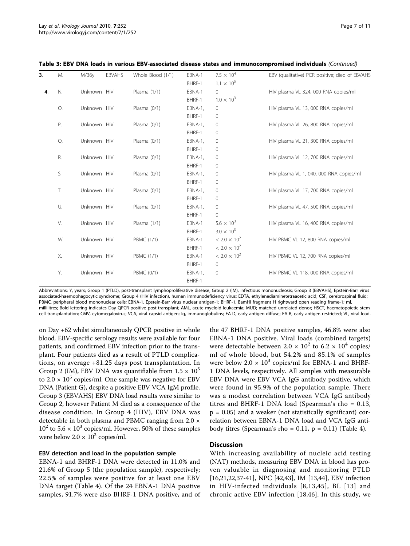| 3 <sub>1</sub> | M. | M/36y       | <b>EBVAHS</b> | Whole Blood (1/1) | EBNA-1  | $7.5 \times 10^{4}$   | EBV (qualitative) PCR positive; died of EBVAHS |
|----------------|----|-------------|---------------|-------------------|---------|-----------------------|------------------------------------------------|
|                |    |             |               |                   | BHRF-1  | $1.1 \times 10^{5}$   |                                                |
| 4.             | N. | Unknown HIV |               | Plasma (1/1)      | EBNA-1  | $\mathbf{0}$          | HIV plasma VL 324, 000 RNA copies/ml           |
|                |    |             |               |                   | BHRF-1  | $1.0 \times 10^{3}$   |                                                |
|                | О. | Unknown HIV |               | Plasma (0/1)      | EBNA-1, | 0                     | HIV plasma VL 13, 000 RNA copies/ml            |
|                |    |             |               |                   | BHRF-1  | 0                     |                                                |
|                | Ρ. | Unknown HIV |               | Plasma (0/1)      | EBNA-1, | 0                     | HIV plasma VL 26, 800 RNA copies/ml            |
|                |    |             |               |                   | BHRF-1  | 0                     |                                                |
|                | Q. | Unknown HIV |               | Plasma (0/1)      | EBNA-1, | 0                     | HIV plasma VL 21, 300 RNA copies/ml            |
|                |    |             |               |                   | BHRF-1  | $\mathbf 0$           |                                                |
|                | R. | Unknown HIV |               | Plasma (0/1)      | EBNA-1, | 0                     | HIV plasma VL 12, 700 RNA copies/ml            |
|                |    |             |               |                   | BHRF-1  | 0                     |                                                |
|                | S. | Unknown HIV |               | Plasma (0/1)      | EBNA-1, | 0                     | HIV plasma VL 1, 040, 000 RNA copies/ml        |
|                |    |             |               |                   | BHRF-1  | 0                     |                                                |
|                | T. | Unknown HIV |               | Plasma (0/1)      | EBNA-1, | 0                     | HIV plasma VL 17, 700 RNA copies/ml            |
|                |    |             |               |                   | BHRF-1  | 0                     |                                                |
|                | U. | Unknown HIV |               | Plasma (0/1)      | EBNA-1, | 0                     | HIV plasma VL 47, 500 RNA copies/ml            |
|                |    |             |               |                   | BHRF-1  | $\Omega$              |                                                |
|                | V. | Unknown HIV |               | Plasma (1/1)      | EBNA-1  | $5.6 \times 10^{3}$   | HIV plasma VL 16, 400 RNA copies/ml            |
|                |    |             |               |                   | BHRF-1  | $3.0 \times 10^{3}$   |                                                |
|                | W. | Unknown HIV |               | <b>PBMC (1/1)</b> | EBNA-1  | $< 2.0 \times 10^{2}$ | HIV PBMC VL 12, 800 RNA copies/ml              |
|                |    |             |               |                   | BHRF-1  | $< 2.0 \times 10^{2}$ |                                                |
|                | Х. | Unknown HIV |               | <b>PBMC (1/1)</b> | EBNA-1  | $< 2.0 \times 10^{2}$ | HIV PBMC VL 12, 700 RNA copies/ml              |
|                |    |             |               |                   | BHRF-1  | 0                     |                                                |
|                | Y. | Unknown HIV |               | <b>PBMC (0/1)</b> | EBNA-1, | 0                     | HIV PBMC VL 118, 000 RNA copies/ml             |
|                |    |             |               |                   | BHRF-1  |                       |                                                |
|                |    |             |               |                   |         |                       |                                                |

Table 3: EBV DNA loads in various EBV-associated disease states and immunocompromised individuals (Continued)

Abbreviations: Y, years; Group 1 (PTLD), post-transplant lymphoproliferative disease; Group 2 (IM), infectious mononucleosis; Group 3 (EBVAHS), Epstein-Barr virus associated-haemophagocytic syndrome; Group 4 (HIV infection), human immunodeficiency virus; EDTA, ethylenediaminetetraacetic acid; CSF, cerebrospinal fluid; PBMC, peripheral blood mononuclear cells; EBNA-1, Epstein-Barr virus nuclear antigen-1; BHRF-1, BamHI fragment H rightward open reading frame-1; ml, millilitres; Bold lettering indicates Day QPCR positive post-transplant; AML, acute myeloid leukaemia; MUD; matched unrelated donor; HSCT, haematopoietic stem cell transplantation; CMV, cytomegalovirus; VCA, viral capsid antigen; Ig, immunoglobulins; EA-D, early antigen-diffuse; EA-R, early antigen-restricted; VL, viral load.

on Day +62 whilst simultaneously QPCR positive in whole blood. EBV-specific serology results were available for four patients, and confirmed EBV infection prior to the transplant. Four patients died as a result of PTLD complications, on average +81.25 days post transplantation. In Group 2 (IM), EBV DNA was quantifiable from  $1.5 \times 10^3$ to  $2.0 \times 10^5$  copies/ml. One sample was negative for EBV DNA (Patient G), despite a positive EBV VCA IgM profile. Group 3 (EBVAHS) EBV DNA load results were similar to Group 2, however Patient M died as a consequence of the disease condition. In Group 4 (HIV), EBV DNA was detectable in both plasma and PBMC ranging from 2.0 ×  $10^2$  to 5.6  $\times$  10<sup>3</sup> copies/ml. However, 50% of these samples were below  $2.0 \times 10^3$  copies/ml.

#### EBV detection and load in the population sample

EBNA-1 and BHRF-1 DNA were detected in 11.0% and 21.6% of Group 5 (the population sample), respectively; 22.5% of samples were positive for at least one EBV DNA target (Table [4\)](#page-7-0). Of the 24 EBNA-1 DNA positive samples, 91.7% were also BHRF-1 DNA positive, and of

the 47 BHRF-1 DNA positive samples, 46.8% were also EBNA-1 DNA positive. Viral loads (combined targets) were detectable between 2.0  $\times$  10<sup>2</sup> to 6.2  $\times$  10<sup>4</sup> copies/ ml of whole blood, but 54.2% and 85.1% of samples were below  $2.0 \times 10^3$  copies/ml for EBNA-1 and BHRF-1 DNA levels, respectively. All samples with measurable EBV DNA were EBV VCA IgG antibody positive, which were found in 95.9% of the population sample. There was a modest correlation between VCA IgG antibody titres and BHRF-1 DNA load (Spearman's rho = 0.13,  $p = 0.05$ ) and a weaker (not statistically significant) correlation between EBNA-1 DNA load and VCA IgG antibody titres (Spearman's rho = 0.11,  $p = 0.11$ ) (Table [4](#page-7-0)).

#### **Discussion**

With increasing availability of nucleic acid testing (NAT) methods, measuring EBV DNA in blood has proven valuable in diagnosing and monitoring PTLD [[16,21,22,](#page-9-0)[37-41\]](#page-10-0), NPC [[42](#page-10-0),[43](#page-10-0)], IM [[13,](#page-9-0)[44\]](#page-10-0), EBV infection in HIV-infected individuals [[8](#page-9-0),[13,](#page-9-0)[45\]](#page-10-0), BL [[13](#page-9-0)] and chronic active EBV infection [[18](#page-9-0),[46\]](#page-10-0). In this study, we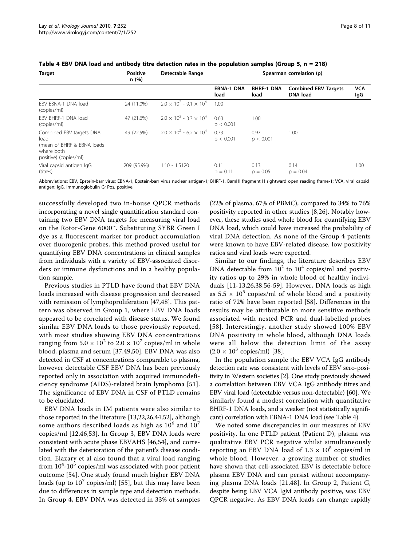| <b>Target</b>                                                                                          | <b>Positive</b><br>n(%) | Detectable Range                    | Spearman correlation (p)  |                           |                                                |                   |
|--------------------------------------------------------------------------------------------------------|-------------------------|-------------------------------------|---------------------------|---------------------------|------------------------------------------------|-------------------|
|                                                                                                        |                         |                                     | <b>EBNA-1 DNA</b><br>load | <b>BHRF-1 DNA</b><br>load | <b>Combined EBV Targets</b><br><b>DNA</b> load | <b>VCA</b><br>lgG |
| EBV EBNA-1 DNA load<br>(copies/ml)                                                                     | 24 (11.0%)              | $2.0 \times 10^2 - 9.1 \times 10^4$ | 1.00                      |                           |                                                |                   |
| FBV BHRF-1 DNA load<br>(copies/ml)                                                                     | 47 (21.6%)              | $2.0 \times 10^2 - 3.3 \times 10^4$ | 0.63<br>p < 0.001         | 1.00                      |                                                |                   |
| Combined EBV targets DNA<br>load<br>(mean of BHRF & EBNA loads)<br>where both<br>positive) (copies/ml) | 49 (22.5%)              | $2.0 \times 10^2 - 6.2 \times 10^4$ | 0.73<br>p < 0.001         | 0.97<br>p < 0.001         | 1.00                                           |                   |
| Viral capsid antigen IgG<br>(titres)                                                                   | 209 (95.9%)             | $1:10 - 1:5120$                     | 0.11<br>$p = 0.11$        | 0.13<br>$p = 0.05$        | 0.14<br>$p = 0.04$                             | 1.00              |

<span id="page-7-0"></span>Table 4 EBV DNA load and antibody titre detection rates in the population samples (Group 5,  $n = 218$ )

Abbreviations: EBV, Epstein-barr virus; EBNA-1, Epstein-barr virus nuclear antigen-1; BHRF-1, BamHI fragment H rightward open reading frame-1; VCA, viral capsid antigen; IgG, immunoglobulin G; Pos, positive.

successfully developed two in-house QPCR methods incorporating a novel single quantification standard containing two EBV DNA targets for measuring viral load on the Rotor-Gene 6000™. Substituting SYBR Green I dye as a fluorescent marker for product accumulation over fluorogenic probes, this method proved useful for quantifying EBV DNA concentrations in clinical samples from individuals with a variety of EBV-associated disorders or immune dysfunctions and in a healthy population sample.

Previous studies in PTLD have found that EBV DNA loads increased with disease progression and decreased with remission of lymphoproliferation [[47,48](#page-10-0)]. This pattern was observed in Group 1, where EBV DNA loads appeared to be correlated with disease status. We found similar EBV DNA loads to those previously reported, with most studies showing EBV DNA concentrations ranging from  $5.0 \times 10^2$  to  $2.0 \times 10^7$  copies/ml in whole blood, plasma and serum [\[37](#page-10-0),[49,50\]](#page-10-0). EBV DNA was also detected in CSF at concentrations comparable to plasma, however detectable CSF EBV DNA has been previously reported only in association with acquired immunodeficiency syndrome (AIDS)-related brain lymphoma [[51\]](#page-10-0). The significance of EBV DNA in CSF of PTLD remains to be elucidated.

EBV DNA loads in IM patients were also similar to those reported in the literature [[13,22,26,](#page-9-0)[44,52\]](#page-10-0), although some authors described loads as high as  $10^6$  and  $10^7$ copies/ml [[12](#page-9-0)[,46](#page-10-0),[53\]](#page-10-0). In Group 3, EBV DNA loads were consistent with acute phase EBVAHS [\[46,54](#page-10-0)], and correlated with the deterioration of the patient's disease condition. Elazary et al also found that a viral load ranging from  $10^4$ - $10^5$  copies/ml was associated with poor patient outcome [\[54](#page-10-0)]. One study found much higher EBV DNA loads (up to  $10^7$  copies/ml) [[55\]](#page-10-0), but this may have been due to differences in sample type and detection methods. In Group 4, EBV DNA was detected in 33% of samples

(22% of plasma, 67% of PBMC), compared to 34% to 76% positivity reported in other studies [[8,26](#page-9-0)]. Notably however, these studies used whole blood for quantifying EBV DNA load, which could have increased the probability of viral DNA detection. As none of the Group 4 patients were known to have EBV-related disease, low positivity ratios and viral loads were expected.

Similar to our findings, the literature describes EBV DNA detectable from  $10^2$  to  $10^4$  copies/ml and positivity ratios up to 29% in whole blood of healthy individuals [[11](#page-9-0)-[13,26,](#page-9-0)[38,56](#page-10-0)-[59\]](#page-10-0). However, DNA loads as high as  $5.5 \times 10^5$  copies/ml of whole blood and a positivity ratio of 72% have been reported [[58\]](#page-10-0). Differences in the results may be attributable to more sensitive methods associated with nested PCR and dual-labelled probes [[58\]](#page-10-0). Interestingly, another study showed 100% EBV DNA positivity in whole blood, although DNA loads were all below the detection limit of the assay  $(2.0 \times 10^3 \text{ copies/ml})$  [\[38](#page-10-0)].

In the population sample the EBV VCA IgG antibody detection rate was consistent with levels of EBV sero-positivity in Western societies [\[2\]](#page-9-0). One study previously showed a correlation between EBV VCA IgG antibody titres and EBV viral load (detectable versus non-detectable) [[60](#page-10-0)]. We similarly found a modest correlation with quantitative BHRF-1 DNA loads, and a weaker (not statistically significant) correlation with EBNA-1 DNA load (see Table 4).

We noted some discrepancies in our measures of EBV positivity. In one PTLD patient (Patient D), plasma was qualitative EBV PCR negative whilst simultaneously reporting an EBV DNA load of  $1.3 \times 10^8$  copies/ml in whole blood. However, a growing number of studies have shown that cell-associated EBV is detectable before plasma EBV DNA and can persist without accompanying plasma DNA loads [[21](#page-9-0),[48\]](#page-10-0). In Group 2, Patient G, despite being EBV VCA IgM antibody positive, was EBV QPCR negative. As EBV DNA loads can change rapidly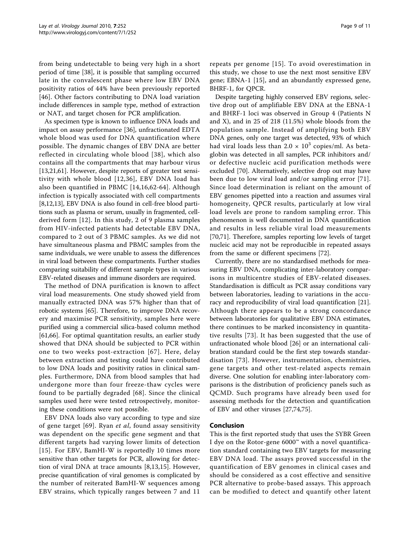from being undetectable to being very high in a short period of time [\[38\]](#page-10-0), it is possible that sampling occurred late in the convalescent phase where low EBV DNA positivity ratios of 44% have been previously reported [[46](#page-10-0)]. Other factors contributing to DNA load variation include differences in sample type, method of extraction or NAT, and target chosen for PCR amplification.

As specimen type is known to influence DNA loads and impact on assay performance [\[36](#page-10-0)], unfractionated EDTA whole blood was used for DNA quantification where possible. The dynamic changes of EBV DNA are better reflected in circulating whole blood [[38](#page-10-0)], which also contains all the compartments that may harbour virus [[13,21,](#page-9-0)[61\]](#page-10-0). However, despite reports of greater test sensitivity with whole blood [[12](#page-9-0),[36](#page-10-0)], EBV DNA load has also been quantified in PBMC [[14](#page-9-0),[16](#page-9-0)[,62-64\]](#page-10-0). Although infection is typically associated with cell compartments [[8,12,13](#page-9-0)], EBV DNA is also found in cell-free blood partitions such as plasma or serum, usually in fragmented, cellderived form [[12](#page-9-0)]. In this study, 2 of 9 plasma samples from HIV-infected patients had detectable EBV DNA, compared to 2 out of 3 PBMC samples. As we did not have simultaneous plasma and PBMC samples from the same individuals, we were unable to assess the differences in viral load between these compartments. Further studies comparing suitability of different sample types in various EBV-related diseases and immune disorders are required.

The method of DNA purification is known to affect viral load measurements. One study showed yield from manually extracted DNA was 57% higher than that of robotic systems [\[65\]](#page-10-0). Therefore, to improve DNA recovery and maximise PCR sensitivity, samples here were purified using a commercial silica-based column method [[61,66\]](#page-10-0). For optimal quantitation results, an earlier study showed that DNA should be subjected to PCR within one to two weeks post-extraction [[67\]](#page-10-0). Here, delay between extraction and testing could have contributed to low DNA loads and positivity ratios in clinical samples. Furthermore, DNA from blood samples that had undergone more than four freeze-thaw cycles were found to be partially degraded [\[68\]](#page-10-0). Since the clinical samples used here were tested retrospectively, monitoring these conditions were not possible.

EBV DNA loads also vary according to type and size of gene target [[69](#page-10-0)]. Ryan et al, found assay sensitivity was dependent on the specific gene segment and that different targets had varying lower limits of detection [[15](#page-9-0)]. For EBV, BamHI-W is reportedly 10 times more sensitive than other targets for PCR, allowing for detection of viral DNA at trace amounts [[8,13,15](#page-9-0)]. However, precise quantification of viral genomes is complicated by the number of reiterated BamHI-W sequences among EBV strains, which typically ranges between 7 and 11

repeats per genome [[15](#page-9-0)]. To avoid overestimation in this study, we chose to use the next most sensitive EBV gene; EBNA-1 [[15\]](#page-9-0), and an abundantly expressed gene, BHRF-1, for QPCR.

Despite targeting highly conserved EBV regions, selective drop out of amplifiable EBV DNA at the EBNA-1 and BHRF-1 loci was observed in Group 4 (Patients N and X), and in 25 of 218 (11.5%) whole bloods from the population sample. Instead of amplifying both EBV DNA genes, only one target was detected, 93% of which had viral loads less than  $2.0 \times 10^3$  copies/ml. As betaglobin was detected in all samples, PCR inhibitors and/ or defective nucleic acid purification methods were excluded [\[70](#page-10-0)]. Alternatively, selective drop out may have been due to low viral load and/or sampling error [[71](#page-10-0)]. Since load determination is reliant on the amount of EBV genomes pipetted into a reaction and assumes viral homogeneity, QPCR results, particularly at low viral load levels are prone to random sampling error. This phenomenon is well documented in DNA quantification and results in less reliable viral load measurements [[70,71\]](#page-10-0). Therefore, samples reporting low levels of target nucleic acid may not be reproducible in repeated assays from the same or different specimens [[72](#page-10-0)].

Currently, there are no standardised methods for measuring EBV DNA, complicating inter-laboratory comparisons in multicentre studies of EBV-related diseases. Standardisation is difficult as PCR assay conditions vary between laboratories, leading to variations in the accuracy and reproducibility of viral load quantification [\[21](#page-9-0)]. Although there appears to be a strong concordance between laboratories for qualitative EBV DNA estimates, there continues to be marked inconsistency in quantitative results [[73](#page-10-0)]. It has been suggested that the use of unfractionated whole blood [\[26](#page-9-0)] or an international calibration standard could be the first step towards standardisation [\[73\]](#page-10-0). However, instrumentation, chemistries, gene targets and other test-related aspects remain diverse. One solution for enabling inter-laboratory comparisons is the distribution of proficiency panels such as QCMD. Such programs have already been used for assessing methods for the detection and quantification of EBV and other viruses [\[27](#page-9-0)[,74,75\]](#page-10-0).

## Conclusion

This is the first reported study that uses the SYBR Green I dye on the Rotor-gene 6000™ with a novel quantification standard containing two EBV targets for measuring EBV DNA load. The assays proved successful in the quantification of EBV genomes in clinical cases and should be considered as a cost effective and sensitive PCR alternative to probe-based assays. This approach can be modified to detect and quantify other latent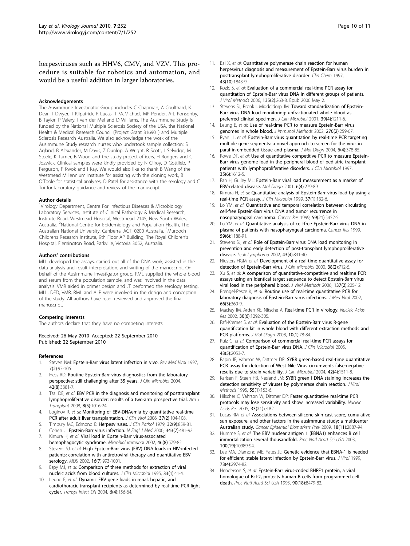<span id="page-9-0"></span>herpesviruses such as HHV6, CMV, and VZV. This procedure is suitable for robotics and automation, and would be a useful addition in larger laboratories.

#### Acknowledgements

The Ausimmune Investigator Group includes C Chapman, A Coulthard, K Dear, T Dwyer, T Kilpatrick, R Lucas, T McMichael, MP Pender, A-L Ponsonby, B Taylor, P Valery, I van der Mei and D Williams. The Ausimmune Study is funded by the National Multiple Sclerosis Society of the USA, the National Health & Medical Research Council (Project Grant 316901) and Multiple Sclerosis Research Australia. We also acknowledge the work of the Ausimmune Study research nurses who undertook sample collection: S Agland, B Alexander, M Davis, Z Dunlop, A Wright, R Scott, J Selvidge, M Steele, K Turner, B Wood and the study project officers, H Rodgers and C Jozwick. Clinical samples were kindly provided by N Gilroy, D Gottlieb, P Ferguson, F Kwok and I Kay. We would also like to thank B Wang of the Westmead Millennium Institute for assisting with the cloning work, B O'Toole for statistical analyses, D Patel for assistance with the serology and C Toi for laboratory guidance and review of the manuscript.

#### Author details

<sup>1</sup>Virology Department, Centre For Infectious Diseases & Microbiology Laboratory Services, Institute of Clinical Pathology & Medical Research, Institute Road, Westmead Hospital, Westmead 2145, New South Wales, Australia. <sup>2</sup>National Centre for Epidemiology and Population Health, The Australian National University, Canberra, ACT, 0200 Australia. <sup>3</sup>Murdoch Childrens Research Institute, 9th Floor AP Building, The Royal Children's Hospital, Flemington Road, Parkville, Victoria 3052, Australia.

#### Authors' contributions

MLL developed the assays, carried out all of the DNA work, assisted in the data analysis and result interpretation, and writing of the manuscript. On behalf of the Ausimmune Investigator group, RML supplied the whole blood and serum from the population sample, and was involved in the data analysis. VMR aided in primer design and JT performed the serology testing. MLL, DED, VMR, RML and ALP were involved in the design and conception of the study. All authors have read, reviewed and approved the final manuscript.

#### Competing interests

The authors declare that they have no competing interests.

#### Received: 26 May 2010 Accepted: 22 September 2010 Published: 22 September 2010

#### References

- 1. Steven NM: [Epstein-Barr virus latent infection in vivo.](http://www.ncbi.nlm.nih.gov/pubmed/10398475?dopt=Abstract) Rev Med Virol 1997, 7(2):97-106.
- Hess RD: [Routine Epstein-Barr virus diagnostics from the laboratory](http://www.ncbi.nlm.nih.gov/pubmed/15297472?dopt=Abstract) [perspective: still challenging after 35 years.](http://www.ncbi.nlm.nih.gov/pubmed/15297472?dopt=Abstract) J Clin Microbiol 2004, 42(8):3381-7.
- 3. Tsai DE, et al: [EBV PCR in the diagnosis and monitoring of posttransplant](http://www.ncbi.nlm.nih.gov/pubmed/18312608?dopt=Abstract) [lymphoproliferative disorder: results of a two-arm prospective trial.](http://www.ncbi.nlm.nih.gov/pubmed/18312608?dopt=Abstract) Am J Transplant 2008, 8(5):1016-24.
- 4. Loginov R, et al: [Monitoring of EBV-DNAemia by quantitative real-time](http://www.ncbi.nlm.nih.gov/pubmed/16931140?dopt=Abstract) [PCR after adult liver transplantation.](http://www.ncbi.nlm.nih.gov/pubmed/16931140?dopt=Abstract) J Clin Virol 2006, 37(2):104-108.
- 5. Timbury MC, Edmond E: [Herpesviruses.](http://www.ncbi.nlm.nih.gov/pubmed/229129?dopt=Abstract) J Clin Pathol 1979, 32(9):859-81.
- Cohen Jl: [Epstein-Barr virus infection.](http://www.ncbi.nlm.nih.gov/pubmed/10944566?dopt=Abstract) N Engl J Med 2000, 343(7):481-92.
- 7. Kimura H, et al: [Viral load in Epstein-Barr virus-associated](http://www.ncbi.nlm.nih.gov/pubmed/12363023?dopt=Abstract) [hemophagocytic syndrome.](http://www.ncbi.nlm.nih.gov/pubmed/12363023?dopt=Abstract) Microbiol Immunol 2002, 46(8):579-82.
- 8. Stevens SJ, et al: [High Epstein-Barr virus \(EBV\) DNA loads in HIV-infected](http://www.ncbi.nlm.nih.gov/pubmed/11953465?dopt=Abstract) [patients: correlation with antiretroviral therapy and quantitative EBV](http://www.ncbi.nlm.nih.gov/pubmed/11953465?dopt=Abstract) [serology.](http://www.ncbi.nlm.nih.gov/pubmed/11953465?dopt=Abstract) AIDS 2002, 16(7):993-1001.
- 9. Espy MJ, et al: [Comparison of three methods for extraction of viral](http://www.ncbi.nlm.nih.gov/pubmed/7699063?dopt=Abstract) [nucleic acids from blood cultures.](http://www.ncbi.nlm.nih.gov/pubmed/7699063?dopt=Abstract) J Clin Microbiol 1995, 33(1):41-4.
- 10. Leung E, et al: [Dynamic EBV gene loads in renal, hepatic, and](http://www.ncbi.nlm.nih.gov/pubmed/15762933?dopt=Abstract) [cardiothoracic transplant recipients as determined by real-time PCR light](http://www.ncbi.nlm.nih.gov/pubmed/15762933?dopt=Abstract) [cycler.](http://www.ncbi.nlm.nih.gov/pubmed/15762933?dopt=Abstract) Transpl Infect Dis 2004, 6(4):156-64.
- 11. Bai X, et al: [Quantitative polymerase chain reaction for human](http://www.ncbi.nlm.nih.gov/pubmed/9342002?dopt=Abstract) [herpesvirus diagnosis and measurement of Epstein-Barr virus burden in](http://www.ncbi.nlm.nih.gov/pubmed/9342002?dopt=Abstract) [posttransplant lymphoproliferative disorder.](http://www.ncbi.nlm.nih.gov/pubmed/9342002?dopt=Abstract) Clin Chem 1997, 43(10):1843-9.
- 12. Kozic S, et al: [Evaluation of a commercial real-time PCR assay for](http://www.ncbi.nlm.nih.gov/pubmed/16650904?dopt=Abstract) [quantitation of Epstein-Barr virus DNA in different groups of patients.](http://www.ncbi.nlm.nih.gov/pubmed/16650904?dopt=Abstract) J Virol Methods 2006, 135(2):263-8, Epub 2006 May 2.
- 13. Stevens SJ, Pronk I, Middeldorp JM: [Toward standardization of Epstein-](http://www.ncbi.nlm.nih.gov/pubmed/11283029?dopt=Abstract)[Barr virus DNA load monitoring: unfractionated whole blood as](http://www.ncbi.nlm.nih.gov/pubmed/11283029?dopt=Abstract) [preferred clinical specimen.](http://www.ncbi.nlm.nih.gov/pubmed/11283029?dopt=Abstract) J Clin Microbiol 2001, 39(4):1211-6.
- 14. Leung E, et al: [Use of real-time PCR to measure Epstein-Barr virus](http://www.ncbi.nlm.nih.gov/pubmed/12379330?dopt=Abstract) [genomes in whole blood.](http://www.ncbi.nlm.nih.gov/pubmed/12379330?dopt=Abstract) J Immunol Methods 2002, 270(2):259-67.
- 15. Ryan JL, et al: [Epstein-Barr virus quantitation by real-time PCR targeting](http://www.ncbi.nlm.nih.gov/pubmed/15507678?dopt=Abstract) [multiple gene segments: a novel approach to screen for the virus in](http://www.ncbi.nlm.nih.gov/pubmed/15507678?dopt=Abstract) [paraffin-embedded tissue and plasma.](http://www.ncbi.nlm.nih.gov/pubmed/15507678?dopt=Abstract) J Mol Diagn 2004, 6(4):378-85.
- 16. Rowe DT, et al: [Use of quantitative competitive PCR to measure Epstein-](http://www.ncbi.nlm.nih.gov/pubmed/9163497?dopt=Abstract)[Barr virus genome load in the peripheral blood of pediatric transplant](http://www.ncbi.nlm.nih.gov/pubmed/9163497?dopt=Abstract) [patients with lymphoproliferative disorders.](http://www.ncbi.nlm.nih.gov/pubmed/9163497?dopt=Abstract) J Clin Microbiol 1997, 35(6):1612-5.
- 17. Fan H, Gulley ML: [Epstein-Barr viral load measurement as a marker of](http://www.ncbi.nlm.nih.gov/pubmed/11774193?dopt=Abstract) [EBV-related disease.](http://www.ncbi.nlm.nih.gov/pubmed/11774193?dopt=Abstract) Mol Diagn 2001, 6(4):279-89.
- 18. Kimura H, et al: [Quantitative analysis of Epstein-Barr virus load by using a](http://www.ncbi.nlm.nih.gov/pubmed/9854077?dopt=Abstract) [real-time PCR assay.](http://www.ncbi.nlm.nih.gov/pubmed/9854077?dopt=Abstract) J Clin Microbiol 1999, 37(1):132-6.
- 19. Lo YM, et al: [Quantitative and temporal correlation between circulating](http://www.ncbi.nlm.nih.gov/pubmed/10554016?dopt=Abstract) [cell-free Epstein-Barr virus DNA and tumor recurrence in](http://www.ncbi.nlm.nih.gov/pubmed/10554016?dopt=Abstract) [nasopharyngeal carcinoma.](http://www.ncbi.nlm.nih.gov/pubmed/10554016?dopt=Abstract) Cancer Res 1999, 59(21):5452-5.
- 20. Lo YM, et al: [Quantitative analysis of cell-free Epstein-Barr virus DNA in](http://www.ncbi.nlm.nih.gov/pubmed/10096545?dopt=Abstract) [plasma of patients with nasopharyngeal carcinoma.](http://www.ncbi.nlm.nih.gov/pubmed/10096545?dopt=Abstract) Cancer Res 1999, 59(6):1188-91.
- 21. Stevens SJ, et al: [Role of Epstein-Barr virus DNA load monitoring in](http://www.ncbi.nlm.nih.gov/pubmed/12153173?dopt=Abstract) [prevention and early detection of post-transplant lymphoproliferative](http://www.ncbi.nlm.nih.gov/pubmed/12153173?dopt=Abstract) [disease.](http://www.ncbi.nlm.nih.gov/pubmed/12153173?dopt=Abstract) Leuk Lymphoma 2002, 43(4):831-40.
- 22. Niesters HGM, et al: [Development of a real-time quantitative assay for](http://www.ncbi.nlm.nih.gov/pubmed/10655372?dopt=Abstract) [detection of Epstein-Barr virus.](http://www.ncbi.nlm.nih.gov/pubmed/10655372?dopt=Abstract) J Clin Microbiol 2000, 38(2):712-5.
- 23. Xu S, et al: [A comparison of quantitative-competitive and realtime PCR](http://www.ncbi.nlm.nih.gov/pubmed/16879878?dopt=Abstract) [assays using an identical target sequence to detect Epstein-Barr virus](http://www.ncbi.nlm.nih.gov/pubmed/16879878?dopt=Abstract) [viral load in the peripheral blood.](http://www.ncbi.nlm.nih.gov/pubmed/16879878?dopt=Abstract) J Virol Methods 2006, 137(2):205-12.
- 24. Brengel-Pesce K, et al: [Routine use of real-time quantitative PCR for](http://www.ncbi.nlm.nih.gov/pubmed/11793388?dopt=Abstract) [laboratory diagnosis of Epstein-Barr virus infections.](http://www.ncbi.nlm.nih.gov/pubmed/11793388?dopt=Abstract) J Med Virol 2002, 66(3):360-9.
- 25. Mackay IM, Arden KE, Nitsche A: [Real-time PCR in virology.](http://www.ncbi.nlm.nih.gov/pubmed/11884626?dopt=Abstract) Nucleic Acids Res 2002, 30(6):1292-305.
- 26. Fafi-Kremer S, et al: [Evaluation of the Epstein-Barr virus R-gene](http://www.ncbi.nlm.nih.gov/pubmed/18165270?dopt=Abstract) [quantification kit in whole blood with different extraction methods and](http://www.ncbi.nlm.nih.gov/pubmed/18165270?dopt=Abstract) [PCR platforms.](http://www.ncbi.nlm.nih.gov/pubmed/18165270?dopt=Abstract) J Mol Diagn 2008, 10(1):78-84.
- 27. Ruiz G, et al: [Comparison of commercial real-time PCR assays for](http://www.ncbi.nlm.nih.gov/pubmed/15872221?dopt=Abstract) [quantification of Epstein-Barr virus DNA.](http://www.ncbi.nlm.nih.gov/pubmed/15872221?dopt=Abstract) J Clin Microbiol 2005, 43(5):2053-7.
- 28. Papin JF, Vahrson W, Dittmer DP: [SYBR green-based real-time quantitative](http://www.ncbi.nlm.nih.gov/pubmed/15070997?dopt=Abstract) [PCR assay for detection of West Nile Virus circumvents false-negative](http://www.ncbi.nlm.nih.gov/pubmed/15070997?dopt=Abstract) [results due to strain variability.](http://www.ncbi.nlm.nih.gov/pubmed/15070997?dopt=Abstract) J Clin Microbiol 2004, 42(4):1511-8.
- 29. Karlsen F, Steen HB, Nesland JM: [SYBR green I DNA staining increases the](http://www.ncbi.nlm.nih.gov/pubmed/8576305?dopt=Abstract) [detection sensitivity of viruses by polymerase chain reaction.](http://www.ncbi.nlm.nih.gov/pubmed/8576305?dopt=Abstract) J Virol Methods 1995, 55(1):153-6.
- 30. Hilscher C, Vahrson W, Dittmer DP: [Faster quantitative real-time PCR](http://www.ncbi.nlm.nih.gov/pubmed/16314296?dopt=Abstract) [protocols may lose sensitivity and show increased variability.](http://www.ncbi.nlm.nih.gov/pubmed/16314296?dopt=Abstract) Nucleic Acids Res 2005, 33(21):e182.
- 31. Lucas RM, et al: [Associations between silicone skin cast score, cumulative](http://www.ncbi.nlm.nih.gov/pubmed/19843682?dopt=Abstract) [sun exposure, and other factors in the ausimmune study: a multicenter](http://www.ncbi.nlm.nih.gov/pubmed/19843682?dopt=Abstract) [Australian study.](http://www.ncbi.nlm.nih.gov/pubmed/19843682?dopt=Abstract) Cancer Epidemiol Biomarkers Prev 2009, 18(11):2887-94.
- 32. Humme S, et al: [The EBV nuclear antigen 1 \(EBNA1\) enhances B cell](http://www.ncbi.nlm.nih.gov/pubmed/12947043?dopt=Abstract) [immortalization several thousandfold.](http://www.ncbi.nlm.nih.gov/pubmed/12947043?dopt=Abstract) Proc Natl Acad Sci USA 2003, 100(19):10989-94.
- 33. Lee MA, Diamond ME, Yates JL: [Genetic evidence that EBNA-1 is needed](http://www.ncbi.nlm.nih.gov/pubmed/10074147?dopt=Abstract) [for efficient, stable latent infection by Epstein-Barr virus.](http://www.ncbi.nlm.nih.gov/pubmed/10074147?dopt=Abstract) J Virol 1999, 73(4):2974-82.
- 34. Henderson S, et al: [Epstein-Barr virus-coded BHRF1 protein, a viral](http://www.ncbi.nlm.nih.gov/pubmed/8397406?dopt=Abstract) [homologue of Bcl-2, protects human B cells from programmed cell](http://www.ncbi.nlm.nih.gov/pubmed/8397406?dopt=Abstract) [death.](http://www.ncbi.nlm.nih.gov/pubmed/8397406?dopt=Abstract) Proc Natl Acad Sci USA 1993, 90(18):8479-83.